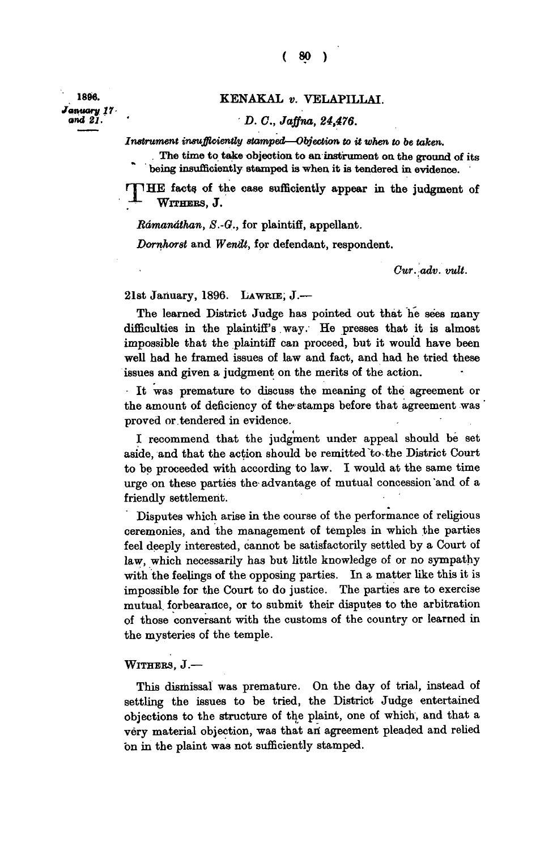*January 17* 

## **. 189« . KENAKAL** *v.* **VELAPILLAI.**

## *and 21. ' D. C, Jaffna, 24,476.*

*Instrument insufficiently stamped—Objection to it when to be taken.* 

**. The time to take objection to an instrument on the ground of its being insufficiently stamped is when it is tendered in evidence.** 

**THE** facts of the case sufficiently appear in the judgment of **- WITHERS** , J.

*Rdmandthan, S.-G.,* **for plaintiff, appellant.** 

*Dornhorst* and *Wendt*, for defendant, respondent.

*Cur. adv. wit.* 

**21st January, 1896. LAWRIE , J.—** 

**The learned District Judge has pointed out that he sees many difficulties in the plaintiff's way. He presses that it is almost impossible that the plaintiff can proceed, but it would have been well had he framed issues of law and fact, and had he tried these issues and given a judgment on the merits of the action.** 

**• It was premature to discuss the meaning of the agreement or the amount of deficiency of the, stamps before that agreement was proved or tendered in evidence.** 

**I recommend that the judgment under appeal should be set aside, and that the action should be remitted to the District Court to be proceeded with according to law. I would at the same time urge on these parties the- advantage of mutual concession 'and of a friendly settlement.** 

**Disputes which arise in the course of the performance of religious ceremonies, and the management of temples in which the parties feel deeply interested, cannot be satisfactorily settled by a Court of law, which necessarily has but little knowledge of or no sympathy with the feelings of the opposing parties. In a matter like this it is impossible for the Court to do justice. The parties are to exercise mutual, forbearance, or to submit their disputes to the arbitration of those conversant with the customs of the country or learned in the mysteries of the temple.** 

## **WITHERS , J.—**

**This dismissal was premature. On the day of trial, instead of settling the issues to be tried, the District Judge entertained objections to the structure of the plaint, one of which, and that a very material objection, was that ari agreement pleaded and relied on in the plaint was not sufficiently stamped.**